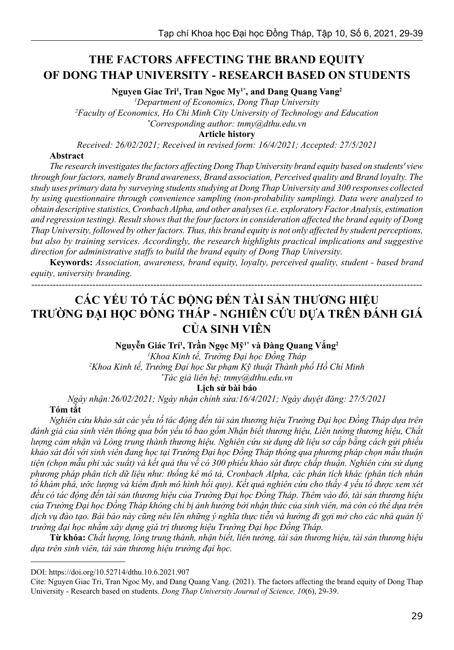# **THE FACTORS AFFECTING THE BRAND EQUITY OF DONG THAP UNIVERSITY - RESEARCH BASED ON STUDENTS**

**Nguyen Giac Tri1 , Tran Ngoc My1\*, and Dang Quang Vang2**

*1 Department of Economics, Dong Thap University*

*2 Faculty of Economics, Ho Chi Minh City University of Technology and Education \* Corresponding author: tnmy@dthu.edu.vn*

**Article history**

*Received: 26/02/2021; Received in revised form: 16/4/2021; Accepted: 27/5/2021*

#### **Abstract**

*The research investigates the factors affecting Dong Thap University brand equity based on students' view through four factors, namely Brand awareness, Brand association, Perceived quality and Brand loyalty. The study uses primary data by surveying students studying at Dong Thap University and 300 responses collected by using questionnaire through convenience sampling (non-probability sampling). Data were analyzed to obtain descriptive statistics, Cronbach Alpha, and other analyses (i.e. exploratory Factor Analysis, estimation and regression testing). Result shows that the four factors in consideration affected the brand equity of Dong Thap University, followed by other factors. Thus, this brand equity is not only affected by student perceptions, but also by training services. Accordingly, the research highlights practical implications and suggestive direction for administrative staffs to build the brand equity of Dong Thap University.* 

**Keywords:** *Association, awareness, brand equity, loyalty, perceived quality, student - based brand equity, university branding.*

--------------------------------------------------------------------------------------------------------------------------------

# **CÁC YẾU TỐ TÁC ĐỘNG ĐẾN TÀI SẢN THƯƠNG HIỆU TRƯỜNG ĐẠI HỌC ĐỒNG THÁP - NGHIÊN CỨU DỰA TRÊN ĐÁNH GIÁ CỦA SINH VIÊN**

**Nguyễn Giác Trí<sup>1</sup> , Trần Ngọc Mỹ1\* và Đàng Quang Vắng<sup>2</sup>**

*1 Khoa Kinh tế, Trường Đại học Đồng Tháp 2 Khoa Kinh tế, Trường Đại học Sư phạm Kỹ thuật Thành phố Hồ Chí Minh \* Tác giả liên hệ: tnmy@dthu.edu.vn*

**Lịch sử bài báo**

*Ngày nhận:26/02/2021; Ngày nhận chỉnh sửa:16/4/2021; Ngày duyệt đăng: 27/5/2021*

#### **Tóm tắt**

*Nghiên cứu khảo sát các yếu tố tác động đến tài sản thương hiệu Trường Đại học Đồng Tháp dựa trên đánh giá của sinh viên thông qua bốn yếu tố bao gồm Nhận biết thương hiệu, Liên tưởng thương hiệu, Chất lượng cảm nhận và Lòng trung thành thương hiệu. Nghiên cứu sử dụng dữ liệu sơ cấp bằng cách gửi phiếu khảo sát đối với sinh viên đang học tại Trường Đại học Đồng Tháp thông qua phương pháp chọn mẫu thuận tiện (chọn mẫu phi xác suất) và kết quả thu về có 300 phiếu khảo sát được chấp thuận. Nghiên cứu sử dụng phương pháp phân tích dữ liệu như: thống kê mô tả, Cronbach Alpha, các phân tích khác (phân tích nhân tố khám phá, ước lượng và kiểm định mô hình hồi quy). Kết quả nghiên cứu cho thấy 4 yếu tố được xem xét đều có tác động đến tài sản thương hiệu của Trường Đại học Đồng Tháp. Thêm vào đó, tài sản thương hiệu của Trường Đại học Đồng Tháp không chỉ bị ảnh hưởng bởi nhận thức của sinh viên, mà còn có thể dựa trên dịch vụ đào tạo. Bài báo này cũng nêu lên những ý nghĩa thực tiễn và hướng đi gợi mở cho các nhà quản lý trường đại học nhằm xây dựng giá trị thương hiệu Trường Đại học Đồng Tháp.*

**Từ khóa:** *Chất lượng, lòng trung thành, nhận biết, liên tưởng, tài sản thương hiệu, tài sản thương hiệu dựa trên sinh viên, tài sản thương hiệu trường đại học.*

DOI: https://doi.org/10.52714/dthu.10.6.2021.907

Cite: Nguyen Giac Tri, Tran Ngoc My, and Dang Quang Vang. (2021). The factors affecting the brand equity of Dong Thap University - Research based on students. *Dong Thap University Journal of Science, 10*(6), 29-39.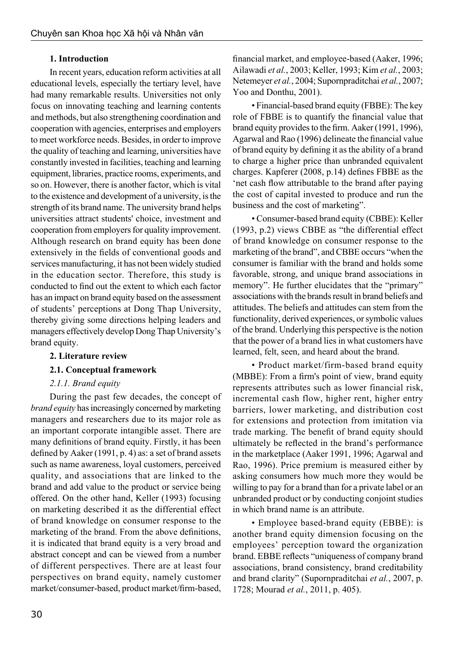# **1. Introduction**

In recent years, education reform activities at all educational levels, especially the tertiary level, have had many remarkable results. Universities not only focus on innovating teaching and learning contents and methods, but also strengthening coordination and cooperation with agencies, enterprises and employers to meet workforce needs. Besides, in order to improve the quality of teaching and learning, universities have constantly invested in facilities, teaching and learning equipment, libraries, practice rooms, experiments, and so on. However, there is another factor, which is vital to the existence and development of a university, is the strength of its brand name. The university brand helps universities attract students' choice, investment and cooperation from employers for quality improvement. Although research on brand equity has been done extensively in the fields of conventional goods and services manufacturing, it has not been widely studied in the education sector. Therefore, this study is conducted to find out the extent to which each factor has an impact on brand equity based on the assessment of students' perceptions at Dong Thap University, thereby giving some directions helping leaders and managers effectively develop Dong Thap University's brand equity.

# **2. Literature review**

# **2.1. Conceptual framework**

# *2.1.1. Brand equity*

During the past few decades, the concept of *brand equity* has increasingly concerned by marketing managers and researchers due to its major role as an important corporate intangible asset. There are many definitions of brand equity. Firstly, it has been defined by Aaker (1991, p. 4) as: a set of brand assets such as name awareness, loyal customers, perceived quality, and associations that are linked to the brand and add value to the product or service being offered. On the other hand, Keller (1993) focusing on marketing described it as the differential effect of brand knowledge on consumer response to the marketing of the brand. From the above definitions, it is indicated that brand equity is a very broad and abstract concept and can be viewed from a number of different perspectives. There are at least four perspectives on brand equity, namely customer market/consumer-based, product market/firm-based,

financial market, and employee-based (Aaker, 1996; Ailawadi *et al.*, 2003; Keller, 1993; Kim *et al.*, 2003; Netemeyer *et al.*, 2004; Supornpraditchai *et al.*, 2007; Yoo and Donthu, 2001).

• Financial-based brand equity (FBBE): The key role of FBBE is to quantify the financial value that brand equity provides to the firm. Aaker (1991, 1996), Agarwal and Rao (1996) delineate the financial value of brand equity by defining it as the ability of a brand to charge a higher price than unbranded equivalent charges. Kapferer (2008, p.14) defines FBBE as the 'net cash flow attributable to the brand after paying the cost of capital invested to produce and run the business and the cost of marketing".

• Consumer-based brand equity (CBBE): Keller (1993, p.2) views CBBE as "the differential effect of brand knowledge on consumer response to the marketing of the brand", and CBBE occurs "when the consumer is familiar with the brand and holds some favorable, strong, and unique brand associations in memory". He further elucidates that the "primary" associations with the brands result in brand beliefs and attitudes. The beliefs and attitudes can stem from the functionality, derived experiences, or symbolic values of the brand. Underlying this perspective is the notion that the power of a brand lies in what customers have learned, felt, seen, and heard about the brand.

• Product market/firm-based brand equity (MBBE): From a firm's point of view, brand equity represents attributes such as lower financial risk, incremental cash flow, higher rent, higher entry barriers, lower marketing, and distribution cost for extensions and protection from imitation via trade marking. The benefit of brand equity should ultimately be reflected in the brand's performance in the marketplace (Aaker 1991, 1996; Agarwal and Rao, 1996). Price premium is measured either by asking consumers how much more they would be willing to pay for a brand than for a private label or an unbranded product or by conducting conjoint studies in which brand name is an attribute.

• Employee based-brand equity (EBBE): is another brand equity dimension focusing on the employees' perception toward the organization brand. EBBE reflects "uniqueness of company brand associations, brand consistency, brand creditability and brand clarity" (Supornpraditchai *et al.*, 2007, p. 1728; Mourad *et al.*, 2011, p. 405).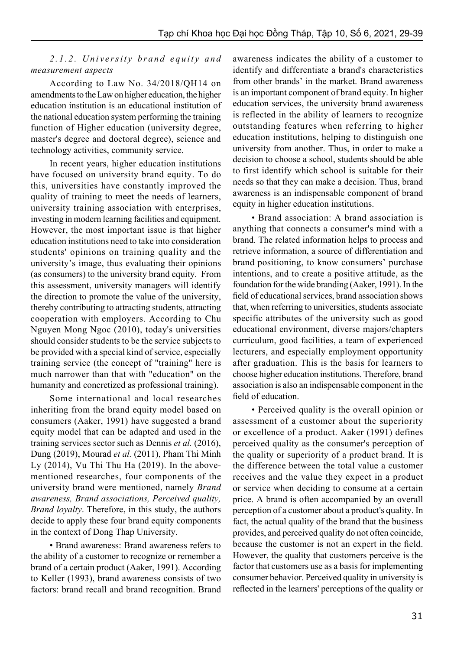# 2.1.2. University brand equity and *measurement aspects*

According to Law No. 34/2018/QH14 on amendments to the Law on higher education, the higher education institution is an educational institution of the national education system performing the training function of Higher education (university degree, master's degree and doctoral degree), science and technology activities, community service.

In recent years, higher education institutions have focused on university brand equity. To do this, universities have constantly improved the quality of training to meet the needs of learners, university training association with enterprises, investing in modern learning facilities and equipment. However, the most important issue is that higher education institutions need to take into consideration students' opinions on training quality and the university's image, thus evaluating their opinions (as consumers) to the university brand equity. From this assessment, university managers will identify the direction to promote the value of the university, thereby contributing to attracting students, attracting cooperation with employers. According to Chu Nguyen Mong Ngoc (2010), today's universities should consider students to be the service subjects to be provided with a special kind of service, especially training service (the concept of "training" here is much narrower than that with "education" on the humanity and concretized as professional training).

Some international and local researches inheriting from the brand equity model based on consumers (Aaker, 1991) have suggested a brand equity model that can be adapted and used in the training services sector such as Dennis *et al.* (2016), Dung (2019), Mourad *et al.* (2011), Pham Thi Minh Ly (2014), Vu Thi Thu Ha (2019). In the abovementioned researches, four components of the university brand were mentioned, namely *Brand awareness, Brand associations, Perceived quality, Brand loyalty*. Therefore, in this study, the authors decide to apply these four brand equity components in the context of Dong Thap University.

• Brand awareness: Brand awareness refers to the ability of a customer to recognize or remember a brand of a certain product (Aaker, 1991). According to Keller (1993), brand awareness consists of two factors: brand recall and brand recognition. Brand awareness indicates the ability of a customer to identify and differentiate a brand's characteristics from other brands' in the market. Brand awareness is an important component of brand equity. In higher education services, the university brand awareness is reflected in the ability of learners to recognize outstanding features when referring to higher education institutions, helping to distinguish one university from another. Thus, in order to make a decision to choose a school, students should be able to first identify which school is suitable for their needs so that they can make a decision. Thus, brand awareness is an indispensable component of brand equity in higher education institutions.

• Brand association: A brand association is anything that connects a consumer's mind with a brand. The related information helps to process and retrieve information, a source of differentiation and brand positioning, to know consumers' purchase intentions, and to create a positive attitude, as the foundation for the wide branding (Aaker, 1991). In the field of educational services, brand association shows that, when referring to universities, students associate specific attributes of the university such as good educational environment, diverse majors/chapters curriculum, good facilities, a team of experienced lecturers, and especially employment opportunity after graduation. This is the basis for learners to choose higher education institutions. Therefore, brand association is also an indispensable component in the field of education.

• Perceived quality is the overall opinion or assessment of a customer about the superiority or excellence of a product. Aaker (1991) defines perceived quality as the consumer's perception of the quality or superiority of a product brand. It is the difference between the total value a customer receives and the value they expect in a product or service when deciding to consume at a certain price. A brand is often accompanied by an overall perception of a customer about a product's quality. In fact, the actual quality of the brand that the business provides, and perceived quality do not often coincide, because the customer is not an expert in the field. However, the quality that customers perceive is the factor that customers use as a basis for implementing consumer behavior. Perceived quality in university is reflected in the learners' perceptions of the quality or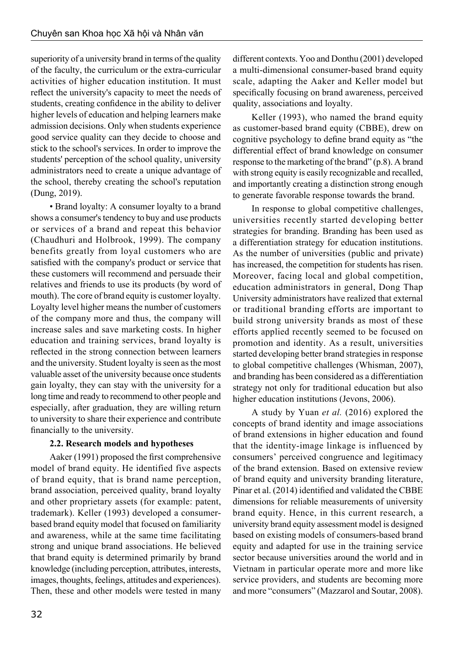superiority of a university brand in terms of the quality of the faculty, the curriculum or the extra-curricular activities of higher education institution. It must reflect the university's capacity to meet the needs of students, creating confidence in the ability to deliver higher levels of education and helping learners make admission decisions. Only when students experience good service quality can they decide to choose and stick to the school's services. In order to improve the students' perception of the school quality, university administrators need to create a unique advantage of the school, thereby creating the school's reputation (Dung, 2019).

• Brand loyalty: A consumer loyalty to a brand shows a consumer's tendency to buy and use products or services of a brand and repeat this behavior (Chaudhuri and Holbrook, 1999). The company benefits greatly from loyal customers who are satisfied with the company's product or service that these customers will recommend and persuade their relatives and friends to use its products (by word of mouth). The core of brand equity is customer loyalty. Loyalty level higher means the number of customers of the company more and thus, the company will increase sales and save marketing costs. In higher education and training services, brand loyalty is reflected in the strong connection between learners and the university. Student loyalty is seen as the most valuable asset of the university because once students gain loyalty, they can stay with the university for a long time and ready to recommend to other people and especially, after graduation, they are willing return to university to share their experience and contribute financially to the university.

# **2.2. Research models and hypotheses**

Aaker (1991) proposed the first comprehensive model of brand equity. He identified five aspects of brand equity, that is brand name perception, brand association, perceived quality, brand loyalty and other proprietary assets (for example: patent, trademark). Keller (1993) developed a consumerbased brand equity model that focused on familiarity and awareness, while at the same time facilitating strong and unique brand associations. He believed that brand equity is determined primarily by brand knowledge (including perception, attributes, interests, images, thoughts, feelings, attitudes and experiences). Then, these and other models were tested in many different contexts. Yoo and Donthu (2001) developed a multi-dimensional consumer-based brand equity scale, adapting the Aaker and Keller model but specifically focusing on brand awareness, perceived quality, associations and loyalty.

Keller (1993), who named the brand equity as customer-based brand equity (CBBE), drew on cognitive psychology to define brand equity as "the differential effect of brand knowledge on consumer response to the marketing of the brand" (p.8). A brand with strong equity is easily recognizable and recalled, and importantly creating a distinction strong enough to generate favorable response towards the brand.

In response to global competitive challenges, universities recently started developing better strategies for branding. Branding has been used as a differentiation strategy for education institutions. As the number of universities (public and private) has increased, the competition for students has risen. Moreover, facing local and global competition, education administrators in general, Dong Thap University administrators have realized that external or traditional branding efforts are important to build strong university brands as most of these efforts applied recently seemed to be focused on promotion and identity. As a result, universities started developing better brand strategies in response to global competitive challenges (Whisman, 2007), and branding has been considered as a differentiation strategy not only for traditional education but also higher education institutions (Jevons, 2006).

A study by Yuan *et al.* (2016) explored the concepts of brand identity and image associations of brand extensions in higher education and found that the identity-image linkage is influenced by consumers' perceived congruence and legitimacy of the brand extension. Based on extensive review of brand equity and university branding literature, Pinar et al. (2014) identified and validated the CBBE dimensions for reliable measurements of university brand equity. Hence, in this current research, a university brand equity assessment model is designed based on existing models of consumers-based brand equity and adapted for use in the training service sector because universities around the world and in Vietnam in particular operate more and more like service providers, and students are becoming more and more "consumers" (Mazzarol and Soutar, 2008).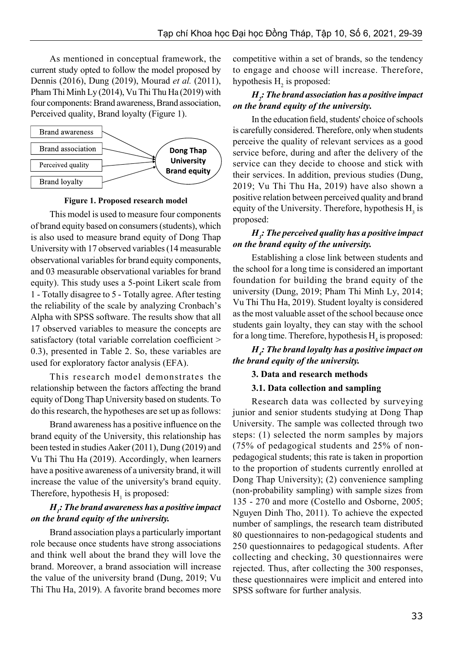As mentioned in conceptual framework, the current study opted to follow the model proposed by Dennis (2016), Dung (2019), Mourad *et al.* (2011), Pham Thi Minh Ly (2014), Vu Thi Thu Ha (2019) with four components: Brand awareness, Brand association, Perceived quality, Brand loyalty (Figure 1).



#### **Figure 1. Proposed research model**

This model is used to measure four components of brand equity based on consumers (students), which is also used to measure brand equity of Dong Thap University with 17 observed variables (14 measurable observational variables for brand equity components, and 03 measurable observational variables for brand equity). This study uses a 5-point Likert scale from 1 - Totally disagree to 5 - Totally agree. After testing the reliability of the scale by analyzing Cronbach's Alpha with SPSS software. The results show that all 17 observed variables to measure the concepts are satisfactory (total variable correlation coefficient > 0.3), presented in Table 2. So, these variables are used for exploratory factor analysis (EFA).

This research model demonstrates the relationship between the factors affecting the brand equity of Dong Thap University based on students. To do this research, the hypotheses are set up as follows:

Brand awareness has a positive influence on the brand equity of the University, this relationship has been tested in studies Aaker (2011), Dung (2019) and Vu Thi Thu Ha (2019). Accordingly, when learners have a positive awareness of a university brand, it will increase the value of the university's brand equity. Therefore, hypothesis  $H_1$  is proposed:

### *H1 : The brand awareness has a positive impact on the brand equity of the university.*

Brand association plays a particularly important role because once students have strong associations and think well about the brand they will love the brand. Moreover, a brand association will increase the value of the university brand (Dung, 2019; Vu Thi Thu Ha, 2019). A favorite brand becomes more competitive within a set of brands, so the tendency to engage and choose will increase. Therefore, hypothesis  $H_2$  is proposed:

#### *H2 : The brand association has a positive impact on the brand equity of the university.*

In the education field, students' choice of schools is carefully considered. Therefore, only when students perceive the quality of relevant services as a good service before, during and after the delivery of the service can they decide to choose and stick with their services. In addition, previous studies (Dung, 2019; Vu Thi Thu Ha, 2019) have also shown a positive relation between perceived quality and brand equity of the University. Therefore, hypothesis  $H_3$  is proposed:

### *H3 : The perceived quality has a positive impact on the brand equity of the university.*

Establishing a close link between students and the school for a long time is considered an important foundation for building the brand equity of the university (Dung, 2019; Pham Thi Minh Ly, 2014; Vu Thi Thu Ha, 2019). Student loyalty is considered as the most valuable asset of the school because once students gain loyalty, they can stay with the school for a long time. Therefore, hypothesis  $H_4$  is proposed:

### *H4 : The brand loyalty has a positive impact on the brand equity of the university.*

#### **3. Data and research methods**

#### **3.1. Data collection and sampling**

Research data was collected by surveying junior and senior students studying at Dong Thap University. The sample was collected through two steps: (1) selected the norm samples by majors (75% of pedagogical students and 25% of nonpedagogical students; this rate is taken in proportion to the proportion of students currently enrolled at Dong Thap University); (2) convenience sampling (non-probability sampling) with sample sizes from 135 - 270 and more (Costello and Osborne, 2005; Nguyen Dinh Tho, 2011). To achieve the expected number of samplings, the research team distributed 80 questionnaires to non-pedagogical students and 250 questionnaires to pedagogical students. After collecting and checking, 30 questionnaires were rejected. Thus, after collecting the 300 responses, these questionnaires were implicit and entered into SPSS software for further analysis.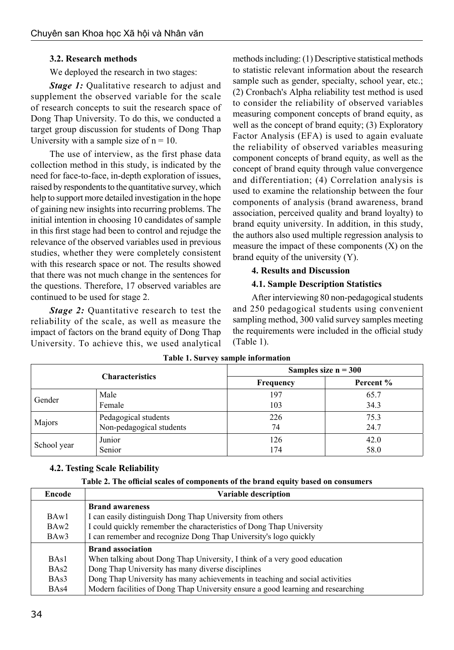# **3.2. Research methods**

We deployed the research in two stages:

*Stage 1:* Qualitative research to adjust and supplement the observed variable for the scale of research concepts to suit the research space of Dong Thap University. To do this, we conducted a target group discussion for students of Dong Thap University with a sample size of  $n = 10$ .

The use of interview, as the first phase data collection method in this study, is indicated by the need for face-to-face, in-depth exploration of issues, raised by respondents to the quantitative survey, which help to support more detailed investigation in the hope of gaining new insights into recurring problems. The initial intention in choosing 10 candidates of sample in this first stage had been to control and rejudge the relevance of the observed variables used in previous studies, whether they were completely consistent with this research space or not. The results showed that there was not much change in the sentences for the questions. Therefore, 17 observed variables are continued to be used for stage 2.

*Stage 2:* Quantitative research to test the reliability of the scale, as well as measure the impact of factors on the brand equity of Dong Thap University. To achieve this, we used analytical

methods including: (1) Descriptive statistical methods to statistic relevant information about the research sample such as gender, specialty, school year, etc.; (2) Cronbach's Alpha reliability test method is used to consider the reliability of observed variables measuring component concepts of brand equity, as well as the concept of brand equity; (3) Exploratory Factor Analysis (EFA) is used to again evaluate the reliability of observed variables measuring component concepts of brand equity, as well as the concept of brand equity through value convergence and differentiation; (4) Correlation analysis is used to examine the relationship between the four components of analysis (brand awareness, brand association, perceived quality and brand loyalty) to brand equity university. In addition, in this study, the authors also used multiple regression analysis to measure the impact of these components (X) on the brand equity of the university (Y).

# **4. Results and Discussion**

# **4.1. Sample Description Statistics**

After interviewing 80 non-pedagogical students and 250 pedagogical students using convenient sampling method, 300 valid survey samples meeting the requirements were included in the official study (Table 1).

| <b>Characteristics</b> |                          | Samples size $n = 300$ |           |  |  |
|------------------------|--------------------------|------------------------|-----------|--|--|
|                        |                          | Frequency              | Percent % |  |  |
| Gender                 | Male                     | 197                    | 65.7      |  |  |
|                        | Female                   | 103                    | 34.3      |  |  |
| Majors                 | Pedagogical students     | 226                    | 75.3      |  |  |
|                        | Non-pedagogical students | 74                     | 24.7      |  |  |
| School year            | Junior                   | 126                    | 42.0      |  |  |
|                        | Senior                   | 174                    | 58.0      |  |  |

### **Table 1. Survey sample information**

# **4.2. Testing Scale Reliability**

| Table 2. The official scales of components of the brand equity based on consumers |  |  |
|-----------------------------------------------------------------------------------|--|--|
|-----------------------------------------------------------------------------------|--|--|

| Encode            | Variable description                                                             |  |  |  |
|-------------------|----------------------------------------------------------------------------------|--|--|--|
|                   | <b>Brand awareness</b>                                                           |  |  |  |
| BAw1              | I can easily distinguish Dong Thap University from others                        |  |  |  |
| BAw2              | I could quickly remember the characteristics of Dong Thap University             |  |  |  |
| BA <sub>w</sub> 3 | I can remember and recognize Dong Thap University's logo quickly                 |  |  |  |
|                   | <b>Brand association</b>                                                         |  |  |  |
| BA <sub>s</sub> 1 | When talking about Dong Thap University, I think of a very good education        |  |  |  |
| BA <sub>s</sub> 2 | Dong Thap University has many diverse disciplines                                |  |  |  |
| BAs3              | Dong Thap University has many achievements in teaching and social activities     |  |  |  |
| BAs4              | Modern facilities of Dong Thap University ensure a good learning and researching |  |  |  |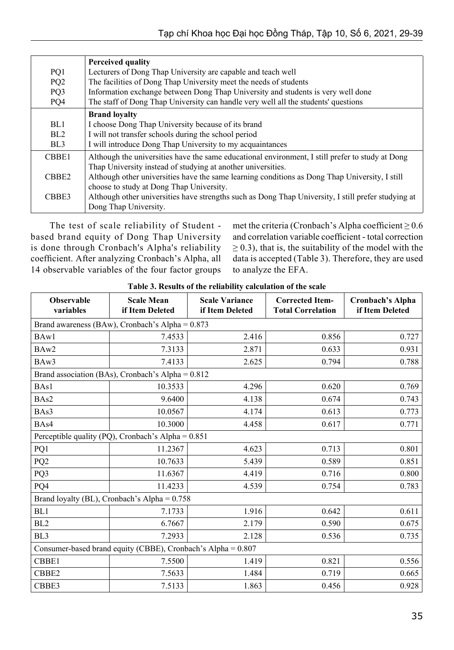|                   | <b>Perceived quality</b>                                                                            |
|-------------------|-----------------------------------------------------------------------------------------------------|
| PQ1               | Lecturers of Dong Thap University are capable and teach well                                        |
| PQ <sub>2</sub>   | The facilities of Dong Thap University meet the needs of students                                   |
| PQ3               | Information exchange between Dong Thap University and students is very well done                    |
| PQ4               | The staff of Dong Thap University can handle very well all the students' questions                  |
|                   | <b>Brand loyalty</b>                                                                                |
| BL1               | I choose Dong Thap University because of its brand                                                  |
| BL2               | I will not transfer schools during the school period                                                |
| BL <sub>3</sub>   | I will introduce Dong Thap University to my acquaintances                                           |
| CBBE1             | Although the universities have the same educational environment, I still prefer to study at Dong    |
|                   | Thap University instead of studying at another universities.                                        |
| CBBE <sub>2</sub> | Although other universities have the same learning conditions as Dong Thap University, I still      |
|                   | choose to study at Dong Thap University.                                                            |
| CBBE3             | Although other universities have strengths such as Dong Thap University, I still prefer studying at |
|                   | Dong Thap University.                                                                               |

The test of scale reliability of Student based brand equity of Dong Thap University is done through Cronbach's Alpha's reliability coefficient. After analyzing Cronbach's Alpha, all 14 observable variables of the four factor groups met the criteria (Cronbach's Alpha coefficient  $\geq 0.6$ and correlation variable coefficient - total correction  $\geq$  0.3), that is, the suitability of the model with the data is accepted (Table 3). Therefore, they are used to analyze the EFA.

| <b>Observable</b><br>variables                               | <b>Scale Mean</b><br>if Item Deleted              | <b>Scale Variance</b><br>if Item Deleted | <b>Corrected Item-</b><br><b>Total Correlation</b> | Cronbach's Alpha<br>if Item Deleted |  |  |  |
|--------------------------------------------------------------|---------------------------------------------------|------------------------------------------|----------------------------------------------------|-------------------------------------|--|--|--|
| Brand awareness (BAw), Cronbach's Alpha = 0.873              |                                                   |                                          |                                                    |                                     |  |  |  |
| BAw1                                                         | 7.4533                                            | 2.416                                    | 0.856                                              | 0.727                               |  |  |  |
| BAw2                                                         | 7.3133                                            | 2.871                                    | 0.633                                              | 0.931                               |  |  |  |
| BAw3                                                         | 7.4133                                            | 2.625                                    | 0.794                                              | 0.788                               |  |  |  |
|                                                              | Brand association (BAs), Cronbach's Alpha = 0.812 |                                          |                                                    |                                     |  |  |  |
| BAs1                                                         | 10.3533                                           | 4.296                                    | 0.620                                              | 0.769                               |  |  |  |
| BAs2                                                         | 9.6400                                            | 4.138                                    | 0.674                                              | 0.743                               |  |  |  |
| BAs3                                                         | 10.0567                                           | 4.174                                    | 0.613                                              | 0.773                               |  |  |  |
| BAs4                                                         | 10.3000                                           | 4.458                                    | 0.617                                              | 0.771                               |  |  |  |
| Perceptible quality (PQ), Cronbach's Alpha = 0.851           |                                                   |                                          |                                                    |                                     |  |  |  |
| PQ1                                                          | 11.2367                                           | 4.623                                    | 0.713                                              | 0.801                               |  |  |  |
| PQ <sub>2</sub>                                              | 10.7633                                           | 5.439                                    | 0.589                                              | 0.851                               |  |  |  |
| PQ3                                                          | 11.6367                                           | 4.419                                    | 0.716                                              | 0.800                               |  |  |  |
| PQ4                                                          | 11.4233                                           | 4.539                                    | 0.754                                              | 0.783                               |  |  |  |
| Brand loyalty (BL), Cronbach's Alpha = $0.758$               |                                                   |                                          |                                                    |                                     |  |  |  |
| BL1                                                          | 7.1733                                            | 1.916                                    | 0.642                                              | 0.611                               |  |  |  |
| BL <sub>2</sub>                                              | 6.7667                                            | 2.179                                    | 0.590                                              | 0.675                               |  |  |  |
| BL <sub>3</sub>                                              | 7.2933                                            | 2.128                                    | 0.536                                              | 0.735                               |  |  |  |
| Consumer-based brand equity (CBBE), Cronbach's Alpha = 0.807 |                                                   |                                          |                                                    |                                     |  |  |  |
| CBBE1                                                        | 7.5500                                            | 1.419                                    | 0.821                                              | 0.556                               |  |  |  |
| CBBE2                                                        | 7.5633                                            | 1.484                                    | 0.719                                              | 0.665                               |  |  |  |
| CBBE3                                                        | 7.5133                                            | 1.863                                    | 0.456                                              | 0.928                               |  |  |  |

### **Table 3. Results of the reliability calculation of the scale**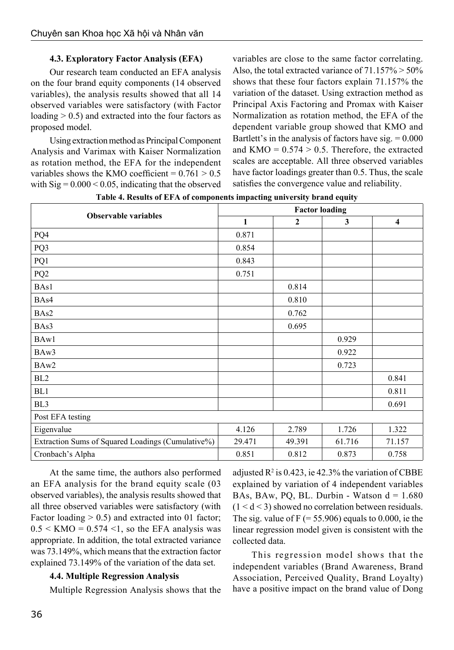# **4.3. Exploratory Factor Analysis (EFA)**

Our research team conducted an EFA analysis on the four brand equity components (14 observed variables), the analysis results showed that all 14 observed variables were satisfactory (with Factor loading  $> 0.5$ ) and extracted into the four factors as proposed model.

Using extraction method as Principal Component Analysis and Varimax with Kaiser Normalization as rotation method, the EFA for the independent variables shows the KMO coefficient =  $0.761 > 0.5$ with  $\text{Sig} = 0.000 \le 0.05$ , indicating that the observed

variables are close to the same factor correlating. Also, the total extracted variance of  $71.157\% > 50\%$ shows that these four factors explain 71.157% the variation of the dataset. Using extraction method as Principal Axis Factoring and Promax with Kaiser Normalization as rotation method, the EFA of the dependent variable group showed that KMO and Bartlett's in the analysis of factors have sig.  $= 0.000$ and  $KMO = 0.574 > 0.5$ . Therefore, the extracted scales are acceptable. All three observed variables have factor loadings greater than 0.5. Thus, the scale satisfies the convergence value and reliability.

|                                                   | <b>Factor loading</b> |                  |              |                         |  |  |
|---------------------------------------------------|-----------------------|------------------|--------------|-------------------------|--|--|
| <b>Observable variables</b>                       | 1                     | $\boldsymbol{2}$ | $\mathbf{3}$ | $\overline{\mathbf{4}}$ |  |  |
| PQ4                                               | 0.871                 |                  |              |                         |  |  |
| PQ3                                               | 0.854                 |                  |              |                         |  |  |
| PQ1                                               | 0.843                 |                  |              |                         |  |  |
| PQ <sub>2</sub>                                   | 0.751                 |                  |              |                         |  |  |
| BAs1                                              |                       | 0.814            |              |                         |  |  |
| BAs4                                              |                       | 0.810            |              |                         |  |  |
| BAs2                                              |                       | 0.762            |              |                         |  |  |
| BAs3                                              |                       | 0.695            |              |                         |  |  |
| BAw1                                              |                       |                  | 0.929        |                         |  |  |
| BAw3                                              |                       |                  | 0.922        |                         |  |  |
| BAw2                                              |                       |                  | 0.723        |                         |  |  |
| BL <sub>2</sub>                                   |                       |                  |              | 0.841                   |  |  |
| BL1                                               |                       |                  |              | 0.811                   |  |  |
| BL <sub>3</sub>                                   |                       |                  |              | 0.691                   |  |  |
| Post EFA testing                                  |                       |                  |              |                         |  |  |
| Eigenvalue                                        | 4.126                 | 2.789            | 1.726        | 1.322                   |  |  |
| Extraction Sums of Squared Loadings (Cumulative%) | 29.471                | 49.391           | 61.716       | 71.157                  |  |  |
| Cronbach's Alpha                                  | 0.851                 | 0.812            | 0.873        | 0.758                   |  |  |

**Table 4. Results of EFA of components impacting university brand equity**

At the same time, the authors also performed an EFA analysis for the brand equity scale (03 observed variables), the analysis results showed that all three observed variables were satisfactory (with Factor loading  $> 0.5$ ) and extracted into 01 factor;  $0.5 \leq KMO = 0.574 \leq 1$ , so the EFA analysis was appropriate. In addition, the total extracted variance was 73.149%, which means that the extraction factor explained 73.149% of the variation of the data set.

# **4.4. Multiple Regression Analysis**

Multiple Regression Analysis shows that the

adjusted  $\mathbb{R}^2$  is 0.423, ie 42.3% the variation of CBBE explained by variation of 4 independent variables BAs, BAw, PQ, BL. Durbin - Watson  $d = 1.680$  $(1 < d < 3)$  showed no correlation between residuals. The sig. value of  $F = 55.906$  equals to 0.000, ie the linear regression model given is consistent with the collected data.

This regression model shows that the independent variables (Brand Awareness, Brand Association, Perceived Quality, Brand Loyalty) have a positive impact on the brand value of Dong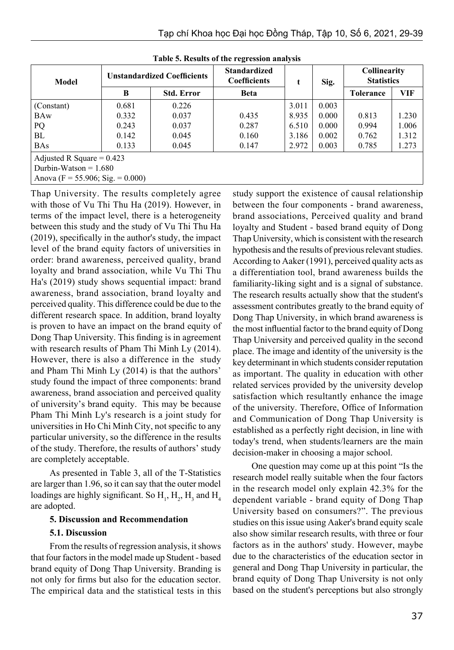| Model                               | <b>Unstandardized Coefficients</b> |                   | <b>Standardized</b><br><b>Coefficients</b> |       | Sig.  | Collinearity<br><b>Statistics</b> |       |
|-------------------------------------|------------------------------------|-------------------|--------------------------------------------|-------|-------|-----------------------------------|-------|
|                                     | B                                  | <b>Std. Error</b> | <b>Beta</b>                                |       |       | Tolerance                         | VIF   |
| (Constant)                          | 0.681                              | 0.226             |                                            | 3.011 | 0.003 |                                   |       |
| <b>BAw</b>                          | 0.332                              | 0.037             | 0.435                                      | 8.935 | 0.000 | 0.813                             | 1.230 |
| PQ                                  | 0.243                              | 0.037             | 0.287                                      | 6.510 | 0.000 | 0.994                             | 1.006 |
| BL                                  | 0.142                              | 0.045             | 0.160                                      | 3.186 | 0.002 | 0.762                             | 1.312 |
| <b>BAs</b>                          | 0.133                              | 0.045             | 0.147                                      | 2.972 | 0.003 | 0.785                             | 1.273 |
| Adjusted R Square = $0.423$         |                                    |                   |                                            |       |       |                                   |       |
| Durbin-Watson $= 1.680$             |                                    |                   |                                            |       |       |                                   |       |
| Anova (F = 55.906; Sig. = $0.000$ ) |                                    |                   |                                            |       |       |                                   |       |

**Table 5. Results of the regression analysis**

Thap University. The results completely agree with those of Vu Thi Thu Ha (2019). However, in terms of the impact level, there is a heterogeneity between this study and the study of Vu Thi Thu Ha (2019), specifically in the author's study, the impact level of the brand equity factors of universities in order: brand awareness, perceived quality, brand loyalty and brand association, while Vu Thi Thu Ha's (2019) study shows sequential impact: brand awareness, brand association, brand loyalty and perceived quality. This difference could be due to the different research space. In addition, brand loyalty is proven to have an impact on the brand equity of Dong Thap University. This finding is in agreement with research results of Pham Thi Minh Ly (2014). However, there is also a difference in the study and Pham Thi Minh Ly (2014) is that the authors' study found the impact of three components: brand awareness, brand association and perceived quality of university's brand equity. This may be because Pham Thi Minh Ly's research is a joint study for universities in Ho Chi Minh City, not specific to any particular university, so the difference in the results of the study. Therefore, the results of authors' study are completely acceptable.

As presented in Table 3, all of the T-Statistics are larger than 1.96, so it can say that the outer model loadings are highly significant. So  $H_1$ ,  $H_2$ ,  $H_3$  and  $H_4$ are adopted.

#### **5. Discussion and Recommendation**

# **5.1. Discussion**

From the results of regression analysis, it shows that four factors in the model made up Student - based brand equity of Dong Thap University. Branding is not only for firms but also for the education sector. The empirical data and the statistical tests in this study support the existence of causal relationship between the four components - brand awareness, brand associations, Perceived quality and brand loyalty and Student - based brand equity of Dong Thap University, which is consistent with the research hypothesis and the results of previous relevant studies. According to Aaker (1991), perceived quality acts as a differentiation tool, brand awareness builds the familiarity-liking sight and is a signal of substance. The research results actually show that the student's assessment contributes greatly to the brand equity of Dong Thap University, in which brand awareness is the most influential factor to the brand equity of Dong Thap University and perceived quality in the second place. The image and identity of the university is the key determinant in which students consider reputation as important. The quality in education with other related services provided by the university develop satisfaction which resultantly enhance the image of the university. Therefore, Office of Information and Communication of Dong Thap University is established as a perfectly right decision, in line with today's trend, when students/learners are the main decision-maker in choosing a major school.

One question may come up at this point "Is the research model really suitable when the four factors in the research model only explain 42.3% for the dependent variable - brand equity of Dong Thap University based on consumers?". The previous studies on this issue using Aaker's brand equity scale also show similar research results, with three or four factors as in the authors' study. However, maybe due to the characteristics of the education sector in general and Dong Thap University in particular, the brand equity of Dong Thap University is not only based on the student's perceptions but also strongly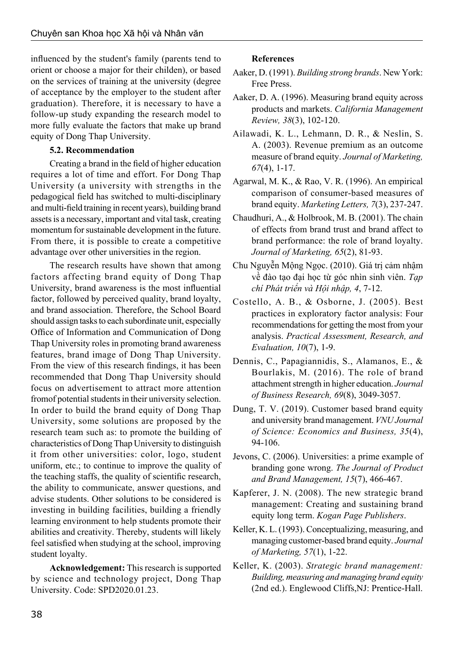influenced by the student's family (parents tend to orient or choose a major for their childen), or based on the services of training at the university (degree of acceptance by the employer to the student after graduation). Therefore, it is necessary to have a follow-up study expanding the research model to more fully evaluate the factors that make up brand equity of Dong Thap University.

# **5.2. Recommendation**

Creating a brand in the field of higher education requires a lot of time and effort. For Dong Thap University (a university with strengths in the pedagogical field has switched to multi-disciplinary and multi-field training in recent years), building brand assets is a necessary, important and vital task, creating momentum for sustainable development in the future. From there, it is possible to create a competitive advantage over other universities in the region.

The research results have shown that among factors affecting brand equity of Dong Thap University, brand awareness is the most influential factor, followed by perceived quality, brand loyalty, and brand association. Therefore, the School Board should assign tasks to each subordinate unit, especially Office of Information and Communication of Dong Thap University roles in promoting brand awareness features, brand image of Dong Thap University. From the view of this research findings, it has been recommended that Dong Thap University should focus on advertisement to attract more attention fromof potential students in their university selection. In order to build the brand equity of Dong Thap University, some solutions are proposed by the research team such as: to promote the building of characteristics of Dong Thap University to distinguish it from other universities: color, logo, student uniform, etc.; to continue to improve the quality of the teaching staffs, the quality of scientific research, the ability to communicate, answer questions, and advise students. Other solutions to be considered is investing in building facilities, building a friendly learning environment to help students promote their abilities and creativity. Thereby, students will likely feel satisfied when studying at the school, improving student loyalty.

**Acknowledgement:** This research is supported by science and technology project, Dong Thap University. Code: SPD2020.01.23.

# **References**

- Aaker, D. (1991). *Building strong brands*. New York: Free Press.
- Aaker, D. A. (1996). Measuring brand equity across products and markets. *California Management Review, 38*(3), 102-120.
- Ailawadi, K. L., Lehmann, D. R., & Neslin, S. A. (2003). Revenue premium as an outcome measure of brand equity. *Journal of Marketing, 67*(4), 1-17.
- Agarwal, M. K., & Rao, V. R. (1996). An empirical comparison of consumer-based measures of brand equity. *Marketing Letters, 7*(3), 237-247.
- Chaudhuri, A., & Holbrook, M. B. (2001). The chain of effects from brand trust and brand affect to brand performance: the role of brand loyalty. *Journal of Marketing, 65*(2), 81-93.
- Chu Nguyễn Mộng Ngọc. (2010). Giá trị cảm nhậm về đào tạo đại học từ góc nhìn sinh viên. *Tạp chí Phát triển và Hội nhập, 4*, 7-12.
- Costello, A. B., & Osborne, J. (2005). Best practices in exploratory factor analysis: Four recommendations for getting the most from your analysis. *Practical Assessment, Research, and Evaluation, 10*(7), 1-9.
- Dennis, C., Papagiannidis, S., Alamanos, E., & Bourlakis, M. (2016). The role of brand attachment strength in higher education. *Journal of Business Research, 69*(8), 3049-3057.
- Dung, T. V. (2019). Customer based brand equity and university brand management. *VNU Journal of Science: Economics and Business, 35*(4), 94-106.
- Jevons, C. (2006). Universities: a prime example of branding gone wrong. *The Journal of Product and Brand Management, 15*(7), 466-467.
- Kapferer, J. N. (2008). The new strategic brand management: Creating and sustaining brand equity long term. *Kogan Page Publishers*.
- Keller, K. L. (1993). Conceptualizing, measuring, and managing customer-based brand equity. *Journal of Marketing, 57*(1), 1-22.
- Keller, K. (2003). *Strategic brand management: Building, measuring and managing brand equity* (2nd ed.). Englewood Cliffs,NJ: Prentice-Hall.